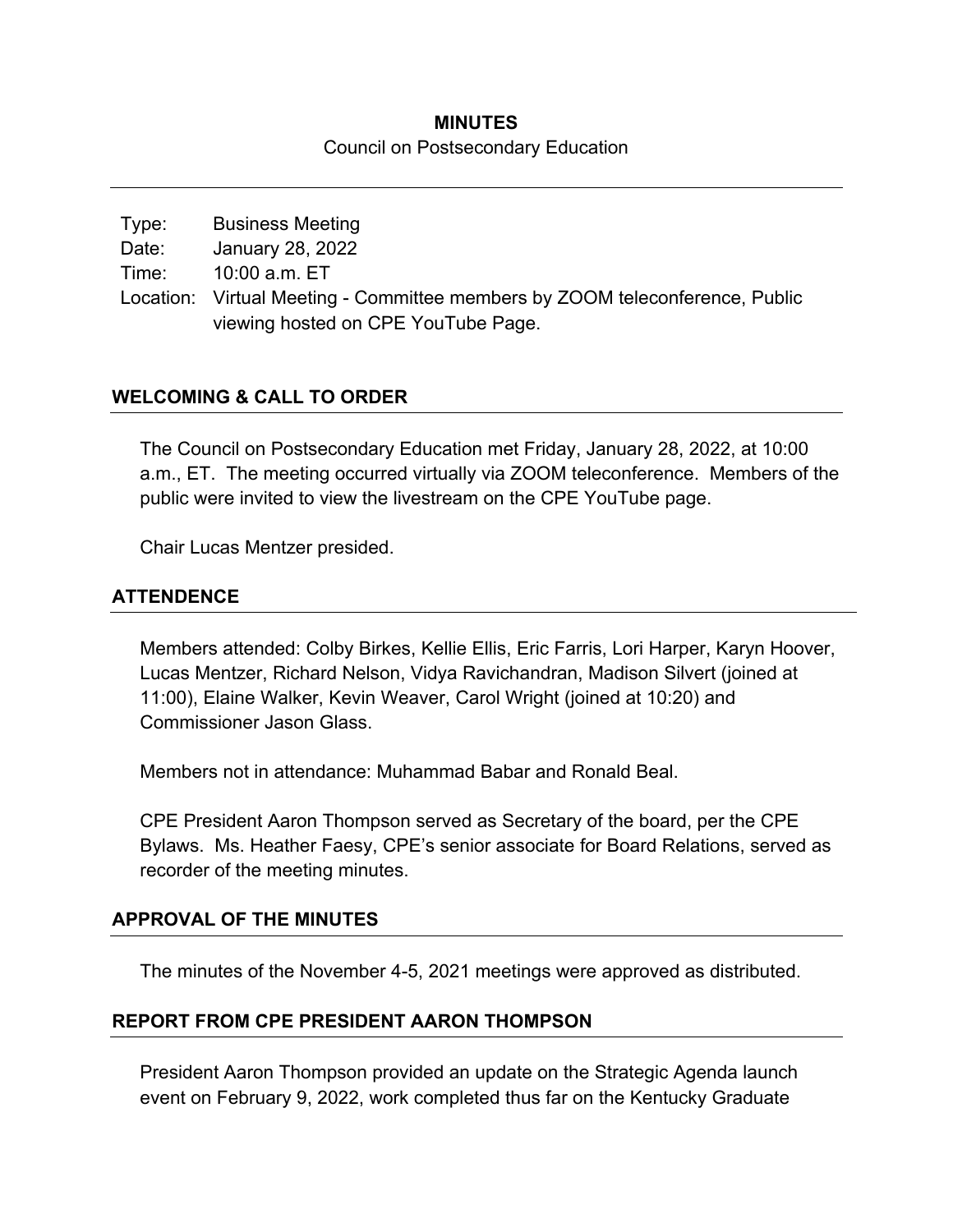# **MINUTES**  Council on Postsecondary Education

Type: Business Meeting Date: January 28, 2022 Time: 10:00 a.m. ET Location: Virtual Meeting - Committee members by ZOOM teleconference, Public viewing hosted on CPE YouTube Page.

# **WELCOMING & CALL TO ORDER**

The Council on Postsecondary Education met Friday, January 28, 2022, at 10:00 a.m., ET. The meeting occurred virtually via ZOOM teleconference. Members of the public were invited to view the livestream on the CPE YouTube page.

Chair Lucas Mentzer presided.

# **ATTENDENCE**

Members attended: Colby Birkes, Kellie Ellis, Eric Farris, Lori Harper, Karyn Hoover, Lucas Mentzer, Richard Nelson, Vidya Ravichandran, Madison Silvert (joined at 11:00), Elaine Walker, Kevin Weaver, Carol Wright (joined at 10:20) and Commissioner Jason Glass.

Members not in attendance: Muhammad Babar and Ronald Beal.

CPE President Aaron Thompson served as Secretary of the board, per the CPE Bylaws. Ms. Heather Faesy, CPE's senior associate for Board Relations, served as recorder of the meeting minutes.

#### **APPROVAL OF THE MINUTES**

The minutes of the November 4-5, 2021 meetings were approved as distributed.

#### **REPORT FROM CPE PRESIDENT AARON THOMPSON**

President Aaron Thompson provided an update on the Strategic Agenda launch event on February 9, 2022, work completed thus far on the Kentucky Graduate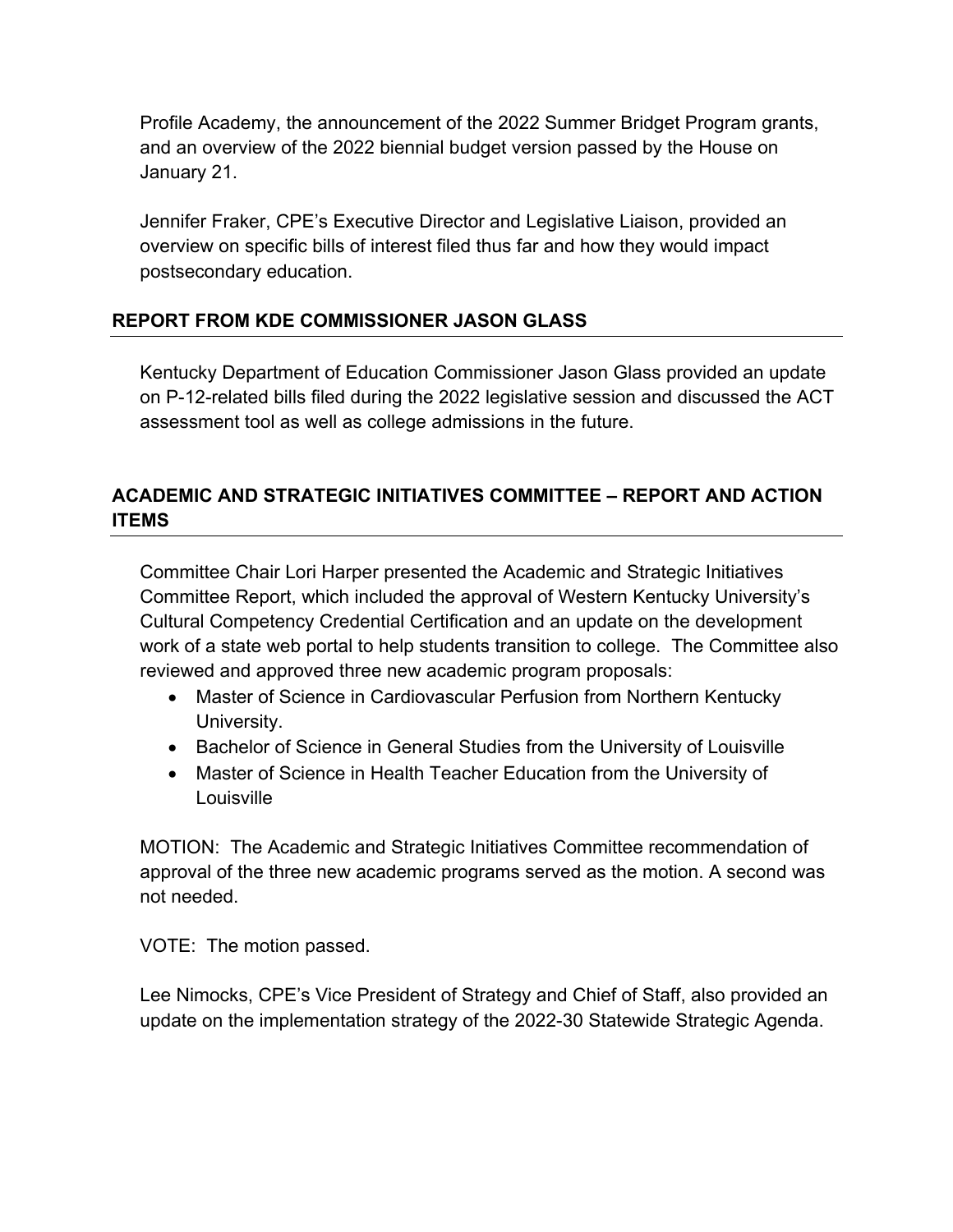Profile Academy, the announcement of the 2022 Summer Bridget Program grants, and an overview of the 2022 biennial budget version passed by the House on January 21.

Jennifer Fraker, CPE's Executive Director and Legislative Liaison, provided an overview on specific bills of interest filed thus far and how they would impact postsecondary education.

# **REPORT FROM KDE COMMISSIONER JASON GLASS**

Kentucky Department of Education Commissioner Jason Glass provided an update on P-12-related bills filed during the 2022 legislative session and discussed the ACT assessment tool as well as college admissions in the future.

# **ACADEMIC AND STRATEGIC INITIATIVES COMMITTEE – REPORT AND ACTION ITEMS**

Committee Chair Lori Harper presented the Academic and Strategic Initiatives Committee Report, which included the approval of Western Kentucky University's Cultural Competency Credential Certification and an update on the development work of a state web portal to help students transition to college. The Committee also reviewed and approved three new academic program proposals:

- Master of Science in Cardiovascular Perfusion from Northern Kentucky University.
- Bachelor of Science in General Studies from the University of Louisville
- Master of Science in Health Teacher Education from the University of Louisville

MOTION: The Academic and Strategic Initiatives Committee recommendation of approval of the three new academic programs served as the motion. A second was not needed.

VOTE: The motion passed.

Lee Nimocks, CPE's Vice President of Strategy and Chief of Staff, also provided an update on the implementation strategy of the 2022-30 Statewide Strategic Agenda.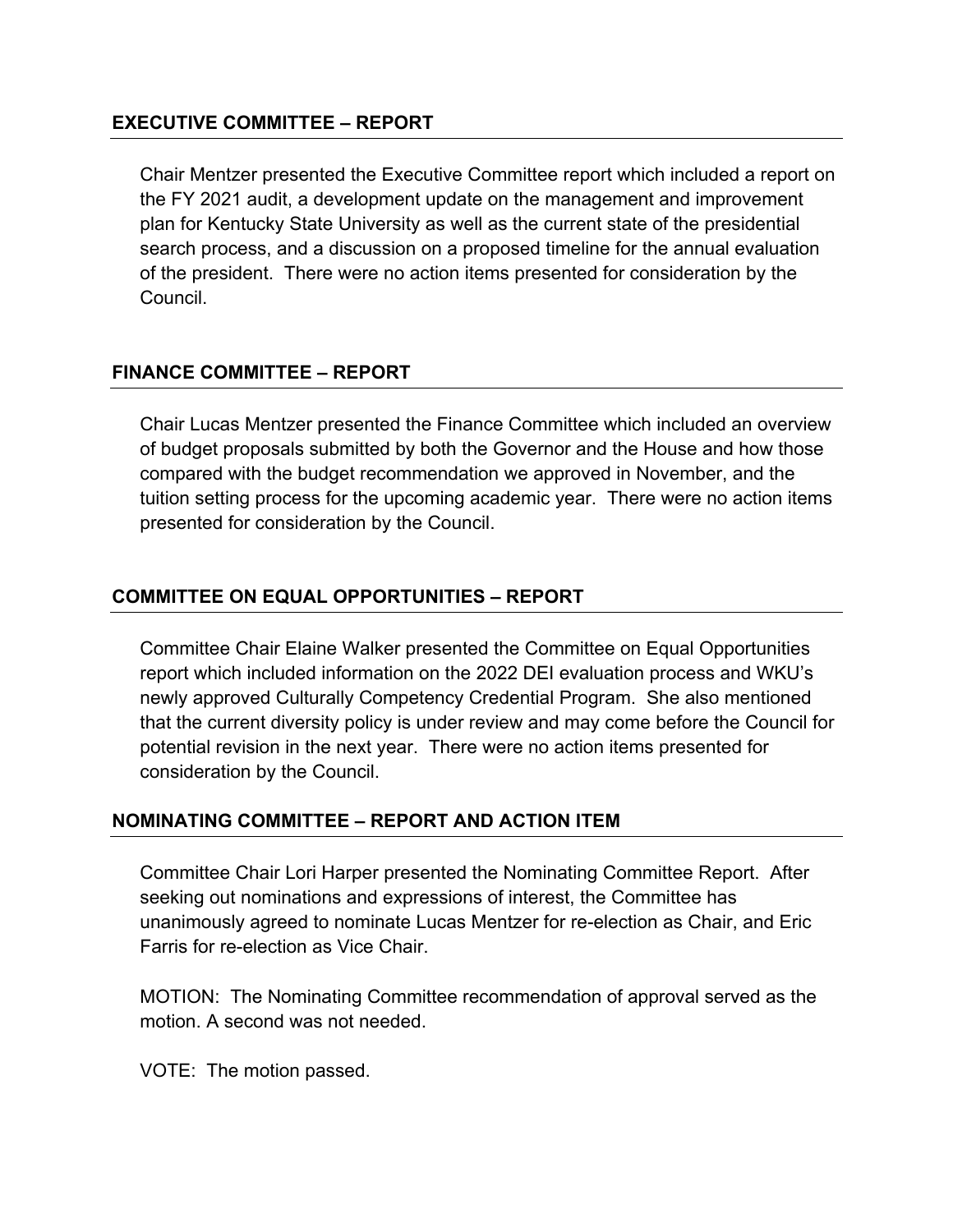#### **EXECUTIVE COMMITTEE – REPORT**

Chair Mentzer presented the Executive Committee report which included a report on the FY 2021 audit, a development update on the management and improvement plan for Kentucky State University as well as the current state of the presidential search process, and a discussion on a proposed timeline for the annual evaluation of the president. There were no action items presented for consideration by the Council.

# **FINANCE COMMITTEE – REPORT**

Chair Lucas Mentzer presented the Finance Committee which included an overview of budget proposals submitted by both the Governor and the House and how those compared with the budget recommendation we approved in November, and the tuition setting process for the upcoming academic year. There were no action items presented for consideration by the Council.

# **COMMITTEE ON EQUAL OPPORTUNITIES – REPORT**

Committee Chair Elaine Walker presented the Committee on Equal Opportunities report which included information on the 2022 DEI evaluation process and WKU's newly approved Culturally Competency Credential Program. She also mentioned that the current diversity policy is under review and may come before the Council for potential revision in the next year. There were no action items presented for consideration by the Council.

# **NOMINATING COMMITTEE – REPORT AND ACTION ITEM**

Committee Chair Lori Harper presented the Nominating Committee Report. After seeking out nominations and expressions of interest, the Committee has unanimously agreed to nominate Lucas Mentzer for re-election as Chair, and Eric Farris for re-election as Vice Chair.

MOTION: The Nominating Committee recommendation of approval served as the motion. A second was not needed.

VOTE: The motion passed.